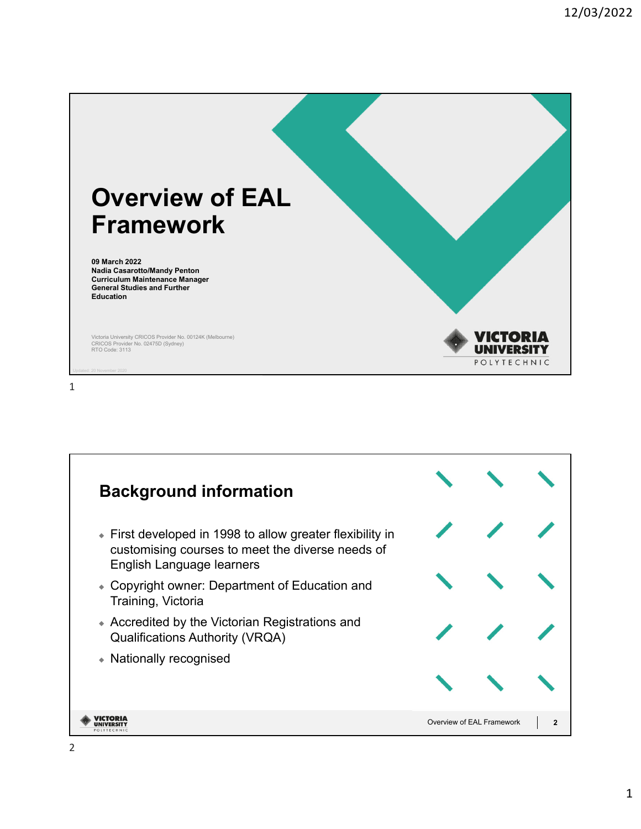

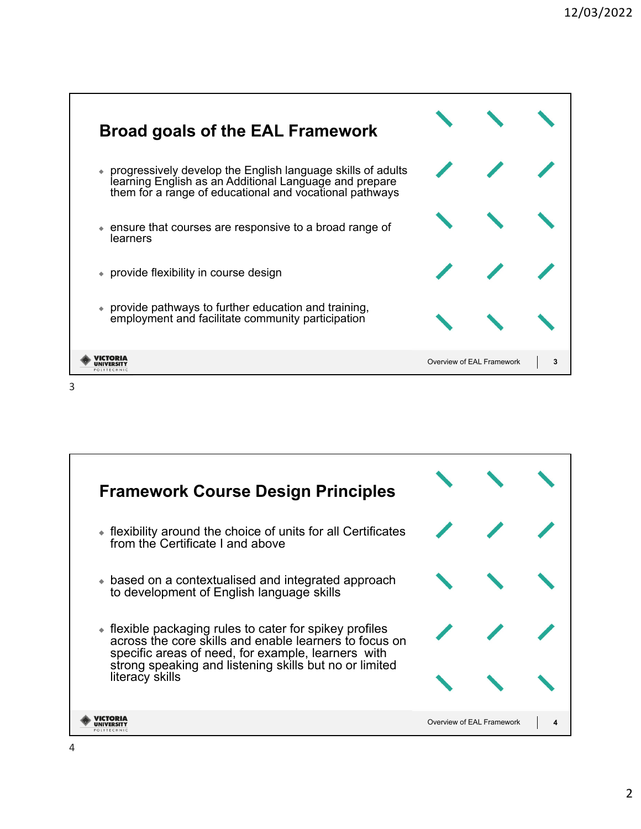

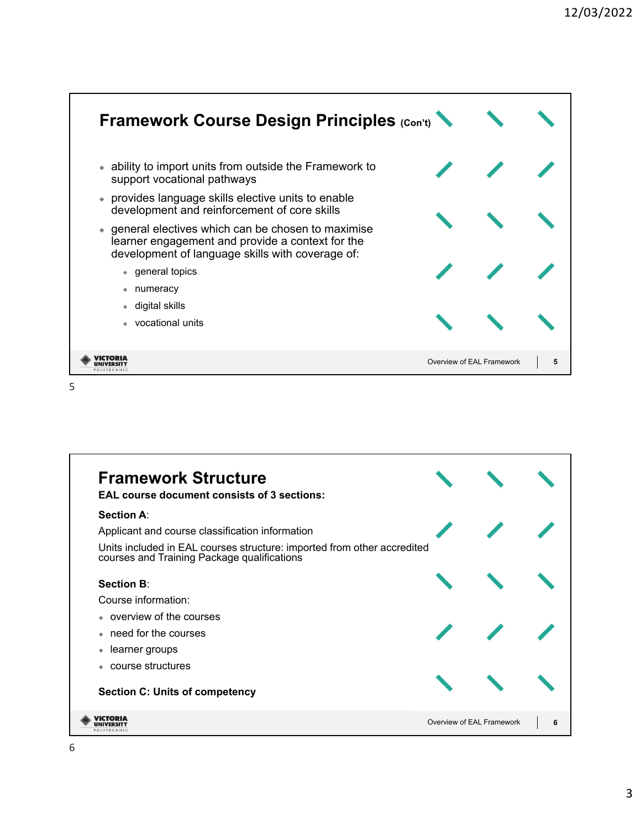



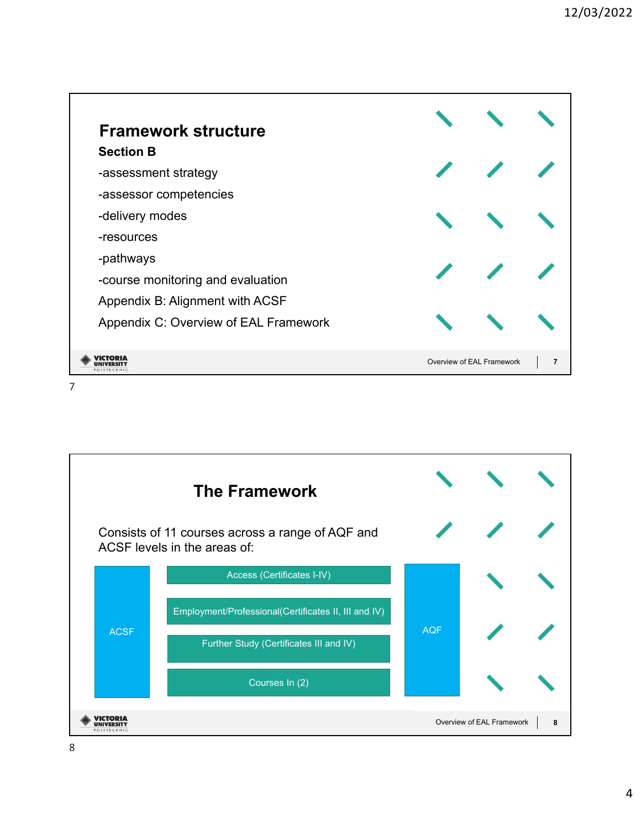

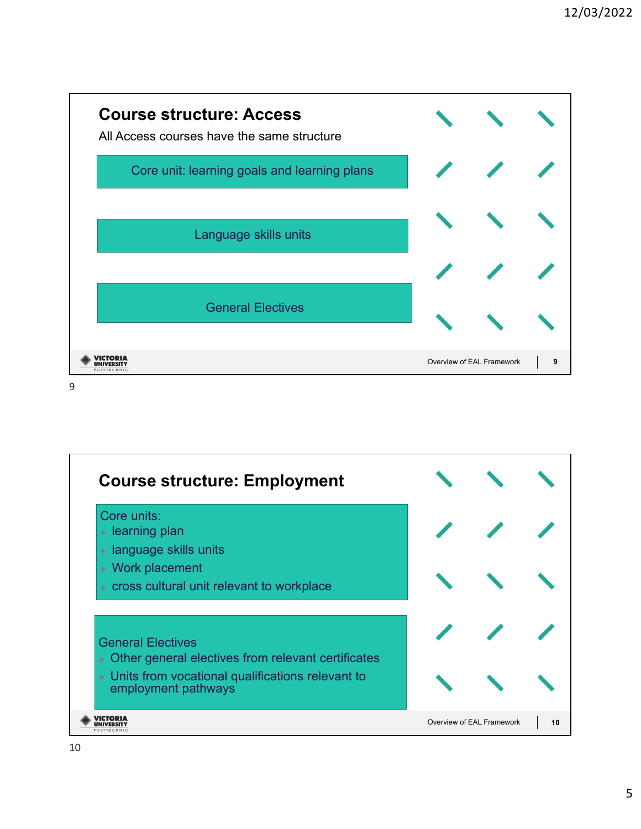

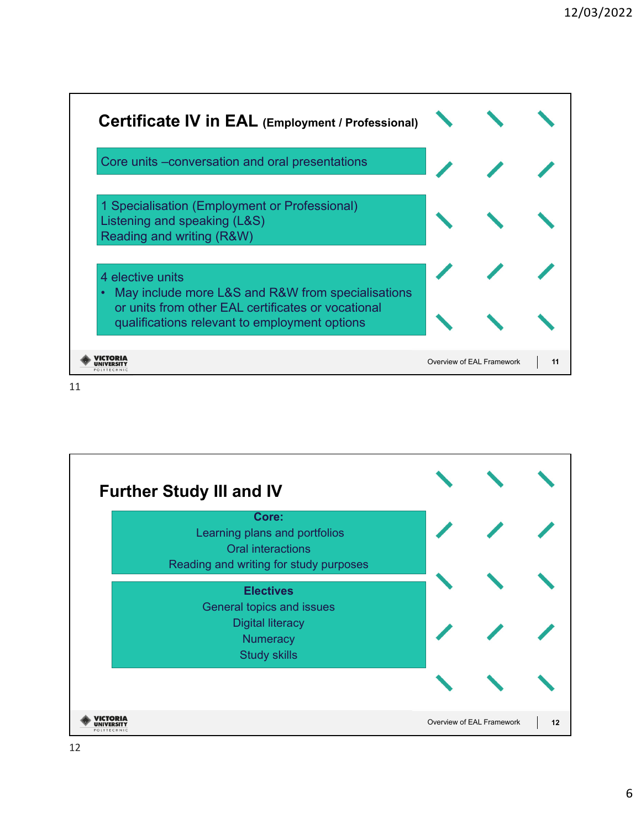

11

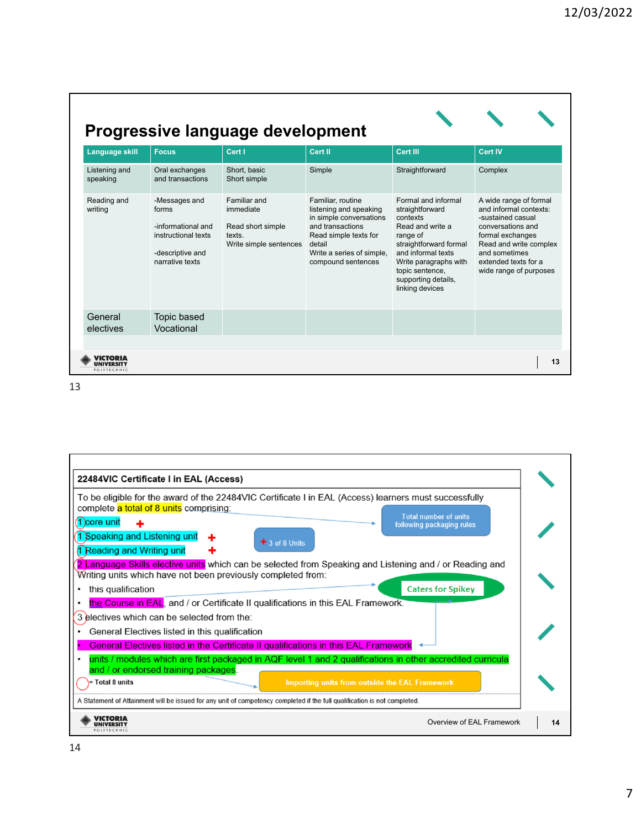|                           |                                                                                                            | Progressive language development                                                   |                                                                                                                                                                                  |                                                                                                                                                                                                                          |                                                                                                                                                                                                             |
|---------------------------|------------------------------------------------------------------------------------------------------------|------------------------------------------------------------------------------------|----------------------------------------------------------------------------------------------------------------------------------------------------------------------------------|--------------------------------------------------------------------------------------------------------------------------------------------------------------------------------------------------------------------------|-------------------------------------------------------------------------------------------------------------------------------------------------------------------------------------------------------------|
| <b>Language skill</b>     | <b>Focus</b>                                                                                               | Cert I                                                                             | Cert II                                                                                                                                                                          | Cert III                                                                                                                                                                                                                 | <b>Cert IV</b>                                                                                                                                                                                              |
| Listening and<br>speaking | Oral exchanges<br>and transactions                                                                         | Short, basic<br>Short simple                                                       | Simple                                                                                                                                                                           | Straightforward                                                                                                                                                                                                          | Complex                                                                                                                                                                                                     |
| Reading and<br>writing    | -Messages and<br>forms<br>-informational and<br>instructional texts<br>-descriptive and<br>narrative texts | Familiar and<br>immediate<br>Read short simple<br>texts.<br>Write simple sentences | Familiar, routine<br>listening and speaking<br>in simple conversations<br>and transactions<br>Read simple texts for<br>detail<br>Write a series of simple,<br>compound sentences | Formal and informal<br>straightforward<br>contexts<br>Read and write a<br>range of<br>straightforward formal<br>and informal texts<br>Write paragraphs with<br>topic sentence,<br>supporting details,<br>linking devices | A wide range of formal<br>and informal contexts:<br>-sustained casual<br>conversations and<br>formal exchanges<br>Read and write complex<br>and sometimes<br>extended texts for a<br>wide range of purposes |
| General<br>electives      | Topic based<br>Vocational                                                                                  |                                                                                    |                                                                                                                                                                                  |                                                                                                                                                                                                                          |                                                                                                                                                                                                             |
| POLYTECHNIC               |                                                                                                            |                                                                                    |                                                                                                                                                                                  |                                                                                                                                                                                                                          | 13                                                                                                                                                                                                          |

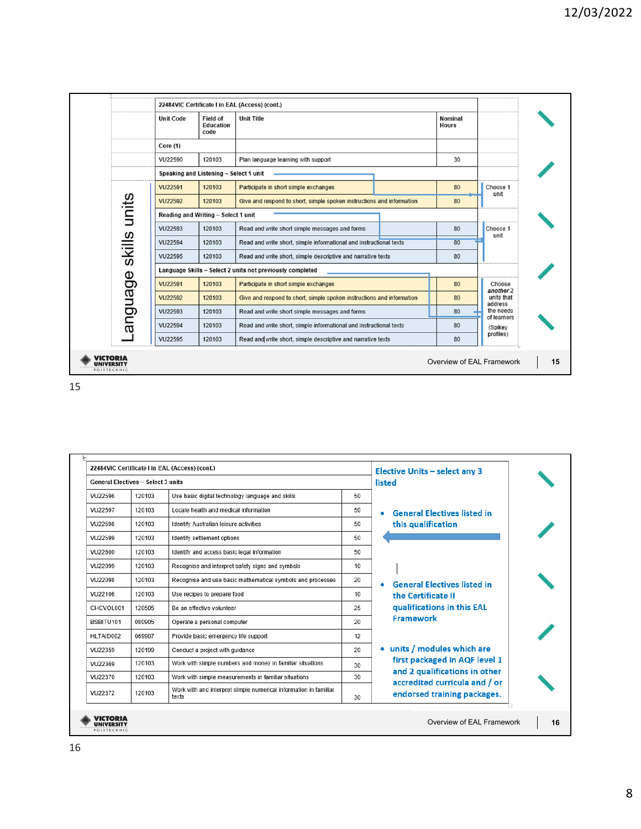|                         | <b>Unit Code</b>                                          | <b>Field of</b><br>Education<br>code                                            | <b>Unit Title</b>                                                     |  | Nominal<br><b>Hours</b> |                          |
|-------------------------|-----------------------------------------------------------|---------------------------------------------------------------------------------|-----------------------------------------------------------------------|--|-------------------------|--------------------------|
|                         | Core (1)                                                  |                                                                                 |                                                                       |  |                         |                          |
|                         | VU22590                                                   | 120103                                                                          | Plan language learning with support                                   |  | 30                      |                          |
|                         | Speaking and Listening - Select 1 unit                    |                                                                                 |                                                                       |  |                         |                          |
|                         | <b>VU22591</b>                                            | 120103                                                                          | Participate in short simple exchanges                                 |  | 80                      | Choose 1                 |
|                         | <b>VU22592</b>                                            | 120103                                                                          | Give and respond to short, simple spoken instructions and information |  | 80                      | unit                     |
|                         | Reading and Writing - Select 1 unit                       |                                                                                 |                                                                       |  |                         |                          |
|                         | VU22593                                                   | 120103                                                                          | Read and write short simple messages and forms                        |  | 80                      | Choose 1                 |
|                         | VU22594                                                   | 120103                                                                          | Read and write short, simple informational and instructional texts    |  |                         | unit                     |
| skills units<br>anguage | VU22595                                                   | 120103                                                                          | Read and write short, simple descriptive and narrative texts          |  | 80                      |                          |
|                         | Language Skills - Select 2 units not previously completed |                                                                                 |                                                                       |  |                         |                          |
|                         | <b>VU22591</b>                                            | 120103                                                                          | Participate in short simple exchanges                                 |  | 80                      | Choose<br>another 2      |
|                         | <b>VU22592</b>                                            | 120103<br>Give and respond to short, simple spoken instructions and information |                                                                       |  | 80                      | units that<br>address    |
|                         | VU22593                                                   | 120103                                                                          | Read and write short simple messages and forms                        |  | 80                      | the needs<br>of learners |
|                         | VU22594                                                   | 120103                                                                          | Read and write short, simple informational and instructional texts    |  | 80                      | (Spikey                  |
|                         | VU22595                                                   | 120103                                                                          | Read and write short, simple descriptive and narrative texts          |  | 80                      | profiles)                |

| <b>General Electives - Select 3 units</b> |        |                                                                           |    | listed                                                         |
|-------------------------------------------|--------|---------------------------------------------------------------------------|----|----------------------------------------------------------------|
| VU22596                                   | 120103 | Use basic digital technology language and skills                          | 50 |                                                                |
| VU22597                                   | 120103 | Locate health and medical information                                     | 50 | <b>General Electives listed in</b>                             |
| VU22598                                   | 120103 | Identify Australian leisure activities                                    | 50 | this qualification                                             |
| VU22599                                   | 120103 | Identify settlement options                                               | 50 |                                                                |
| VU22600                                   | 120103 | Identify and access basic legal information                               | 50 |                                                                |
| VU22099                                   | 120103 | Recognise and interpret safety signs and symbols                          | 10 |                                                                |
| VU22098                                   | 120103 | Recognise and use basic mathematical symbols and processes                | 20 | <b>General Flectives listed in</b><br>۰                        |
| VU22106                                   | 120103 | Use recipes to prepare food                                               | 10 | the Certificate II                                             |
| CHCVOL001                                 | 120505 | Be an effective volunteer                                                 | 25 | qualifications in this EAL                                     |
| BSBITU101                                 | 080905 | Operate a personal computer                                               | 20 | <b>Framework</b>                                               |
| HLTAID002                                 | 069907 | Provide basic emergency life support                                      | 12 |                                                                |
| VU22359                                   | 120199 | Conduct a project with quidance                                           | 20 | • units / modules which are                                    |
| VU22369                                   | 120103 | Work with simple numbers and money in familiar situations                 | 30 | first packaged in AQF level 1                                  |
| VU22370                                   | 120103 | Work with simple measurements in familiar situations                      | 30 | and 2 qualifications in other<br>accredited curricula and / or |
| VU22372                                   | 120103 | Work with and interpret simple numerical information in familiar<br>texts | 30 | endorsed training packages.                                    |